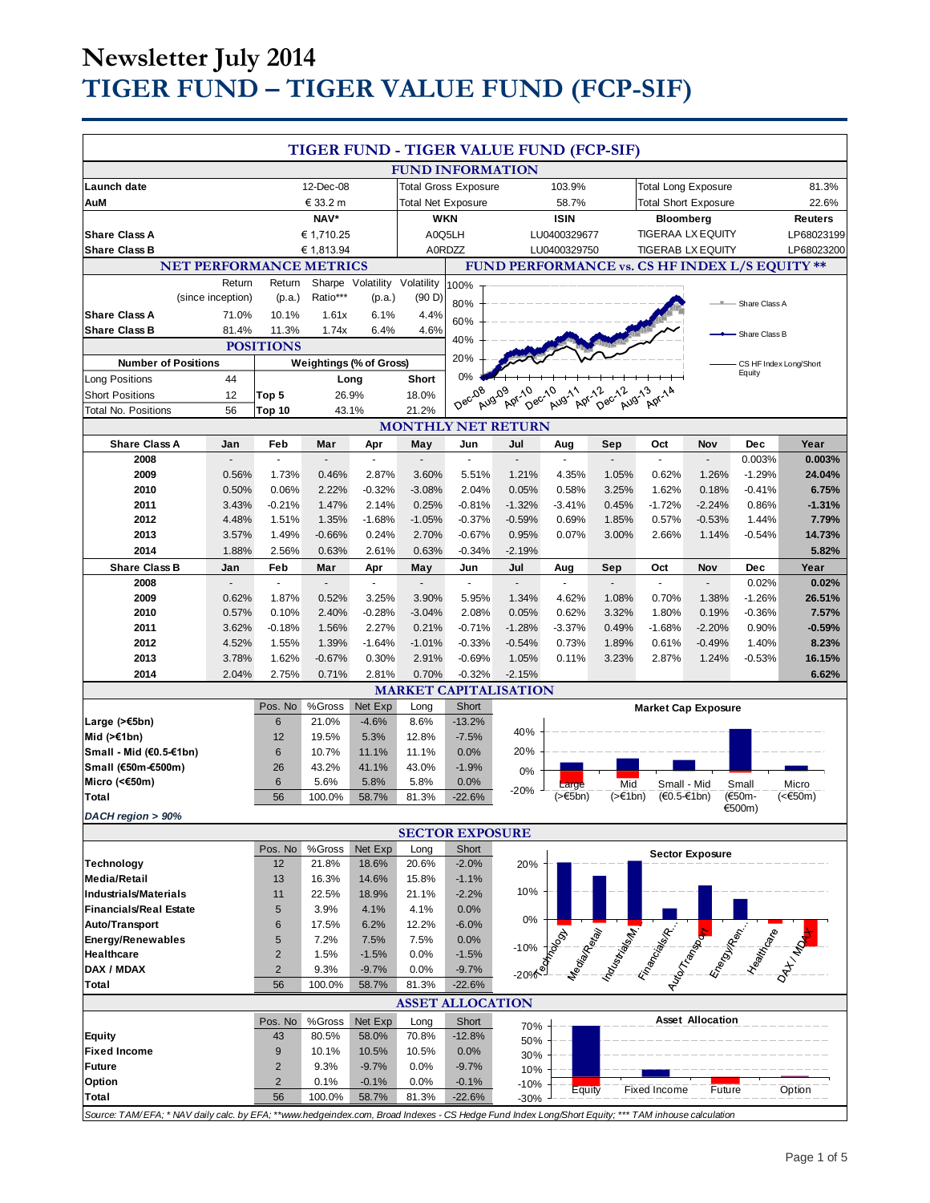# **Newsletter July 2014 TIGER FUND – TIGER VALUE FUND (FCP-SIF)**

|                                                                                                                                                     |                       |                  |                         |               |                                 |                                 | TIGER FUND - TIGER VALUE FUND (FCP-SIF) |                  |                  |                                                                                                                        |                         |                                  |                |
|-----------------------------------------------------------------------------------------------------------------------------------------------------|-----------------------|------------------|-------------------------|---------------|---------------------------------|---------------------------------|-----------------------------------------|------------------|------------------|------------------------------------------------------------------------------------------------------------------------|-------------------------|----------------------------------|----------------|
|                                                                                                                                                     |                       |                  |                         |               |                                 | <b>FUND INFORMATION</b>         |                                         |                  |                  |                                                                                                                        |                         |                                  |                |
| Launch date                                                                                                                                         |                       |                  | 12-Dec-08               |               |                                 | <b>Total Gross Exposure</b>     |                                         | 103.9%           |                  | <b>Total Long Exposure</b>                                                                                             |                         |                                  | 81.3%          |
| AuM                                                                                                                                                 |                       |                  | € 33.2 m                |               | <b>Total Net Exposure</b>       |                                 |                                         | 58.7%            |                  | <b>Total Short Exposure</b>                                                                                            |                         |                                  | 22.6%          |
|                                                                                                                                                     |                       |                  | NAV*                    |               |                                 | <b>WKN</b>                      |                                         | <b>ISIN</b>      |                  | Bloomberg                                                                                                              |                         |                                  | <b>Reuters</b> |
| <b>Share Class A</b>                                                                                                                                |                       |                  | € 1,710.25              |               |                                 | A0Q5LH                          |                                         | LU0400329677     |                  | <b>TIGERAA LX EQUITY</b>                                                                                               |                         |                                  | LP68023199     |
| <b>Share Class B</b>                                                                                                                                |                       |                  | € 1,813.94              |               |                                 | A0RDZZ                          |                                         | LU0400329750     |                  | <b>TIGERAB LX EQUITY</b>                                                                                               |                         |                                  | LP68023200     |
|                                                                                                                                                     |                       |                  |                         |               |                                 |                                 |                                         |                  |                  |                                                                                                                        |                         |                                  |                |
| <b>NET PERFORMANCE METRICS</b><br>FUND PERFORMANCE vs. CS HF INDEX L/S EQUITY **<br>Sharpe Volatility Volatility<br>Return<br>Return                |                       |                  |                         |               |                                 |                                 |                                         |                  |                  |                                                                                                                        |                         |                                  |                |
|                                                                                                                                                     | (since inception)     | (p.a.)           | Ratio***                | (p.a.)        | (90 D)                          | 100%                            |                                         |                  |                  |                                                                                                                        |                         |                                  |                |
| <b>Share Class A</b>                                                                                                                                | 71.0%                 | 10.1%            | 1.61x                   | 6.1%          | 4.4%                            | 80%                             |                                         |                  |                  |                                                                                                                        |                         | Share Class A                    |                |
| <b>Share Class B</b>                                                                                                                                | 81.4%                 | 11.3%            | 1.74x                   | 6.4%          | 4.6%                            | 60%                             |                                         |                  |                  |                                                                                                                        |                         |                                  |                |
|                                                                                                                                                     |                       |                  |                         |               |                                 | 40%                             |                                         |                  |                  |                                                                                                                        |                         | Share Class B                    |                |
|                                                                                                                                                     |                       | <b>POSITIONS</b> |                         |               |                                 | 20%                             |                                         |                  |                  |                                                                                                                        |                         |                                  |                |
| <b>Number of Positions</b>                                                                                                                          |                       |                  | Weightings (% of Gross) |               |                                 | 0%                              |                                         |                  |                  |                                                                                                                        |                         | CS HF Index Long/Short<br>Equity |                |
| Long Positions                                                                                                                                      | 44                    |                  | Long                    |               | Short                           |                                 |                                         |                  |                  |                                                                                                                        |                         |                                  |                |
| <b>Short Positions</b>                                                                                                                              | 12                    | Top 5            | 26.9%                   |               | 18.0%                           | Dec <sub>08</sub>               | Aug-09<br>Apr.10<br>Dec-10              | Aug-11<br>Apr-12 | Dec-12<br>Aug-13 | Apr-14                                                                                                                 |                         |                                  |                |
| <b>Total No. Positions</b>                                                                                                                          | 56                    | Top 10           | 43.1%                   |               | 21.2%                           |                                 |                                         |                  |                  |                                                                                                                        |                         |                                  |                |
| <b>Share Class A</b>                                                                                                                                |                       | Feb              |                         |               |                                 |                                 | <b>MONTHLY NET RETURN</b><br>Jul        | Aug              |                  | Oct                                                                                                                    | Nov                     | Dec                              | Year           |
| 2008                                                                                                                                                | Jan<br>$\blacksquare$ | $\sim$           | Mar<br>$\blacksquare$   | Apr<br>$\sim$ | May<br>$\overline{\phantom{a}}$ | Jun<br>$\overline{\phantom{a}}$ | ÷.                                      | $\sim$           | Sep<br>$\sim$    | ÷.                                                                                                                     | $\overline{a}$          | 0.003%                           | 0.003%         |
| 2009                                                                                                                                                | 0.56%                 | 1.73%            | 0.46%                   | 2.87%         | 3.60%                           | 5.51%                           | 1.21%                                   | 4.35%            | 1.05%            | 0.62%                                                                                                                  | 1.26%                   | $-1.29%$                         | 24.04%         |
| 2010                                                                                                                                                | 0.50%                 | 0.06%            | 2.22%                   | $-0.32%$      | $-3.08%$                        | 2.04%                           | 0.05%                                   | 0.58%            | 3.25%            | 1.62%                                                                                                                  | 0.18%                   | $-0.41%$                         | 6.75%          |
| 2011                                                                                                                                                | 3.43%                 | $-0.21%$         | 1.47%                   | 2.14%         | 0.25%                           | $-0.81%$                        | $-1.32%$                                | $-3.41%$         | 0.45%            | $-1.72%$                                                                                                               | $-2.24%$                | 0.86%                            | $-1.31%$       |
| 2012                                                                                                                                                | 4.48%                 | 1.51%            | 1.35%                   | $-1.68%$      | $-1.05%$                        | $-0.37%$                        | $-0.59%$                                | 0.69%            | 1.85%            | 0.57%                                                                                                                  | $-0.53%$                | 1.44%                            | 7.79%          |
| 2013                                                                                                                                                | 3.57%                 | 1.49%            | $-0.66%$                | 0.24%         | 2.70%                           | $-0.67%$                        | 0.95%                                   | 0.07%            | 3.00%            | 2.66%                                                                                                                  | 1.14%                   | $-0.54%$                         | 14.73%         |
| 2014                                                                                                                                                | 1.88%                 | 2.56%            | 0.63%                   | 2.61%         | 0.63%                           | $-0.34%$                        | $-2.19%$                                |                  |                  |                                                                                                                        |                         |                                  | 5.82%          |
| <b>Share Class B</b>                                                                                                                                | Jan                   | Feb              | Mar                     | Apr           | May                             | Jun                             | Jul                                     | Aug              | Sep              | Oct                                                                                                                    | Nov                     | Dec                              | Year           |
| 2008                                                                                                                                                |                       | $\mathbf{r}$     | $\mathbf{r}$            | ÷.            | ä,                              | ÷.                              | $\overline{\phantom{a}}$                | ×.               | ÷.               | L.                                                                                                                     | $\Box$                  | 0.02%                            | 0.02%          |
| 2009                                                                                                                                                | 0.62%                 | 1.87%            | 0.52%                   | 3.25%         | 3.90%                           | 5.95%                           | 1.34%                                   | 4.62%            | 1.08%            | 0.70%                                                                                                                  | 1.38%                   | $-1.26%$                         | 26.51%         |
| 2010                                                                                                                                                | 0.57%                 | 0.10%            | 2.40%                   | $-0.28%$      | $-3.04%$                        | 2.08%                           | 0.05%                                   | 0.62%            | 3.32%            | 1.80%                                                                                                                  | 0.19%                   | $-0.36%$                         | 7.57%          |
| 2011                                                                                                                                                | 3.62%                 | $-0.18%$         | 1.56%                   | 2.27%         | 0.21%                           | $-0.71%$                        | $-1.28%$                                | $-3.37%$         | 0.49%            | $-1.68%$                                                                                                               | $-2.20%$                | 0.90%                            | $-0.59%$       |
| 2012                                                                                                                                                | 4.52%                 | 1.55%            | 1.39%                   | $-1.64%$      | $-1.01%$                        | $-0.33%$                        | $-0.54%$                                | 0.73%            | 1.89%            | 0.61%                                                                                                                  | $-0.49%$                | 1.40%                            | 8.23%          |
| 2013                                                                                                                                                | 3.78%                 | 1.62%            | $-0.67%$                | 0.30%         | 2.91%                           | $-0.69%$                        | 1.05%                                   | 0.11%            | 3.23%            | 2.87%                                                                                                                  | 1.24%                   | $-0.53%$                         | 16.15%         |
| 2014                                                                                                                                                | 2.04%                 | 2.75%            | 0.71%                   | 2.81%         | 0.70%                           | $-0.32%$                        | $-2.15%$                                |                  |                  |                                                                                                                        |                         |                                  | 6.62%          |
|                                                                                                                                                     |                       |                  |                         |               |                                 |                                 | <b>MARKET CAPITALISATION</b>            |                  |                  |                                                                                                                        |                         |                                  |                |
|                                                                                                                                                     |                       | Pos. No          | %Gross                  | Net Exp       | Long                            | Short                           |                                         |                  |                  | <b>Market Cap Exposure</b>                                                                                             |                         |                                  |                |
| Large (>€5bn)                                                                                                                                       |                       | $6\phantom{1}$   | 21.0%                   | $-4.6%$       | 8.6%                            | $-13.2%$                        |                                         |                  |                  |                                                                                                                        |                         |                                  |                |
| Mid $($ >€1bn)                                                                                                                                      |                       | 12               | 19.5%                   | 5.3%          | 12.8%                           | $-7.5%$                         | 40%                                     |                  |                  |                                                                                                                        |                         |                                  |                |
| Small - Mid (€0.5-€1bn)                                                                                                                             |                       | 6                | 10.7%                   | 11.1%         | 11.1%                           | 0.0%                            | 20%                                     |                  |                  |                                                                                                                        |                         |                                  |                |
| Small (€50m-€500m)                                                                                                                                  |                       | 26               | 43.2%                   | 41.1%         | 43.0%                           | $-1.9%$                         | 0%                                      |                  |                  |                                                                                                                        |                         |                                  |                |
| Micro (<€50m)                                                                                                                                       |                       | $6\phantom{1}$   | 5.6%                    | 5.8%          | 5.8%                            | 0.0%                            | $-20%$                                  | Large            | Mid              | Small - Mid                                                                                                            |                         | Small                            | Micro          |
| Total                                                                                                                                               |                       | 56               | 100.0%                  | 58.7%         | 81.3%                           | $-22.6%$                        |                                         | (>€5bn)          | $($ >€1bn)       | (€0.5-€1bn)                                                                                                            |                         | (€50m-                           | (<€50m)        |
| DACH region > 90%                                                                                                                                   |                       |                  |                         |               |                                 |                                 |                                         |                  |                  |                                                                                                                        |                         | €500m)                           |                |
|                                                                                                                                                     |                       |                  |                         |               |                                 | <b>SECTOR EXPOSURE</b>          |                                         |                  |                  |                                                                                                                        |                         |                                  |                |
|                                                                                                                                                     |                       | Pos. No          | %Gross                  | Net Exp       | Long                            | Short                           |                                         |                  |                  |                                                                                                                        | <b>Sector Exposure</b>  |                                  |                |
| <b>Technology</b>                                                                                                                                   |                       | 12               | 21.8%                   | 18.6%         | 20.6%                           | $-2.0%$                         | 20%                                     |                  |                  |                                                                                                                        |                         |                                  |                |
| <b>Media/Retail</b>                                                                                                                                 |                       | 13               | 16.3%                   | 14.6%         | 15.8%                           | $-1.1%$                         |                                         |                  |                  |                                                                                                                        |                         |                                  |                |
| <b>Industrials/Materials</b>                                                                                                                        |                       | 11               | 22.5%                   | 18.9%         | 21.1%                           | $-2.2%$                         | 10%                                     |                  |                  |                                                                                                                        |                         |                                  |                |
| <b>Financials/Real Estate</b>                                                                                                                       |                       | 5                | 3.9%                    | 4.1%          | 4.1%                            | 0.0%                            | 0%                                      |                  |                  |                                                                                                                        |                         |                                  |                |
| Auto/Transport                                                                                                                                      |                       | 6                | 17.5%                   | 6.2%          | 12.2%                           | $-6.0%$                         |                                         |                  |                  |                                                                                                                        |                         |                                  |                |
| <b>Energy/Renewables</b>                                                                                                                            |                       | 5                | 7.2%                    | 7.5%          | 7.5%                            | 0.0%                            | $-10%$                                  |                  |                  |                                                                                                                        |                         |                                  |                |
| Healthcare                                                                                                                                          |                       | $\overline{c}$   | 1.5%                    | $-1.5%$       | 0.0%                            | $-1.5%$                         |                                         |                  |                  |                                                                                                                        |                         |                                  |                |
| DAX / MDAX                                                                                                                                          |                       | $\overline{2}$   | 9.3%                    | $-9.7%$       | 0.0%                            | $-9.7%$                         | $-20%$                                  |                  |                  | <b>Campion River Campion River Campion River Campion River Campion River Campion River Campion River Campion River</b> |                         |                                  |                |
| Total                                                                                                                                               |                       | 56               | 100.0%                  | 58.7%         | 81.3%                           | $-22.6%$                        |                                         |                  |                  |                                                                                                                        |                         |                                  |                |
|                                                                                                                                                     |                       |                  |                         |               |                                 | <b>ASSET ALLOCATION</b>         |                                         |                  |                  |                                                                                                                        |                         |                                  |                |
|                                                                                                                                                     |                       | Pos. No          | %Gross                  | Net Exp       | Long                            | Short                           | 70%                                     |                  |                  |                                                                                                                        | <b>Asset Allocation</b> |                                  |                |
| <b>Equity</b>                                                                                                                                       |                       | 43               | 80.5%                   | 58.0%         | 70.8%                           | $-12.8%$                        | 50%                                     |                  |                  |                                                                                                                        |                         |                                  |                |
| <b>Fixed Income</b>                                                                                                                                 |                       | $\boldsymbol{9}$ | 10.1%                   | 10.5%         | 10.5%                           | 0.0%                            | 30%                                     |                  |                  |                                                                                                                        |                         |                                  |                |
| <b>Future</b>                                                                                                                                       |                       | $\overline{2}$   | 9.3%                    | $-9.7%$       | 0.0%                            | $-9.7%$                         | 10%                                     |                  |                  |                                                                                                                        |                         |                                  |                |
| Option                                                                                                                                              |                       | $\overline{2}$   | 0.1%                    | $-0.1%$       | 0.0%                            | $-0.1%$                         | -10%                                    | Equity           |                  | Fixed Income                                                                                                           | Future                  |                                  | Option         |
| Total                                                                                                                                               |                       | 56               | 100.0%                  | 58.7%         | 81.3%                           | $-22.6%$                        | $-30%$                                  |                  |                  |                                                                                                                        |                         |                                  |                |
| Source: TAM/EFA; * NAV daily calc. by EFA; **www.hedgeindex.com, Broad Indexes - CS Hedge Fund Index Long/Short Equity; *** TAM inhouse calculation |                       |                  |                         |               |                                 |                                 |                                         |                  |                  |                                                                                                                        |                         |                                  |                |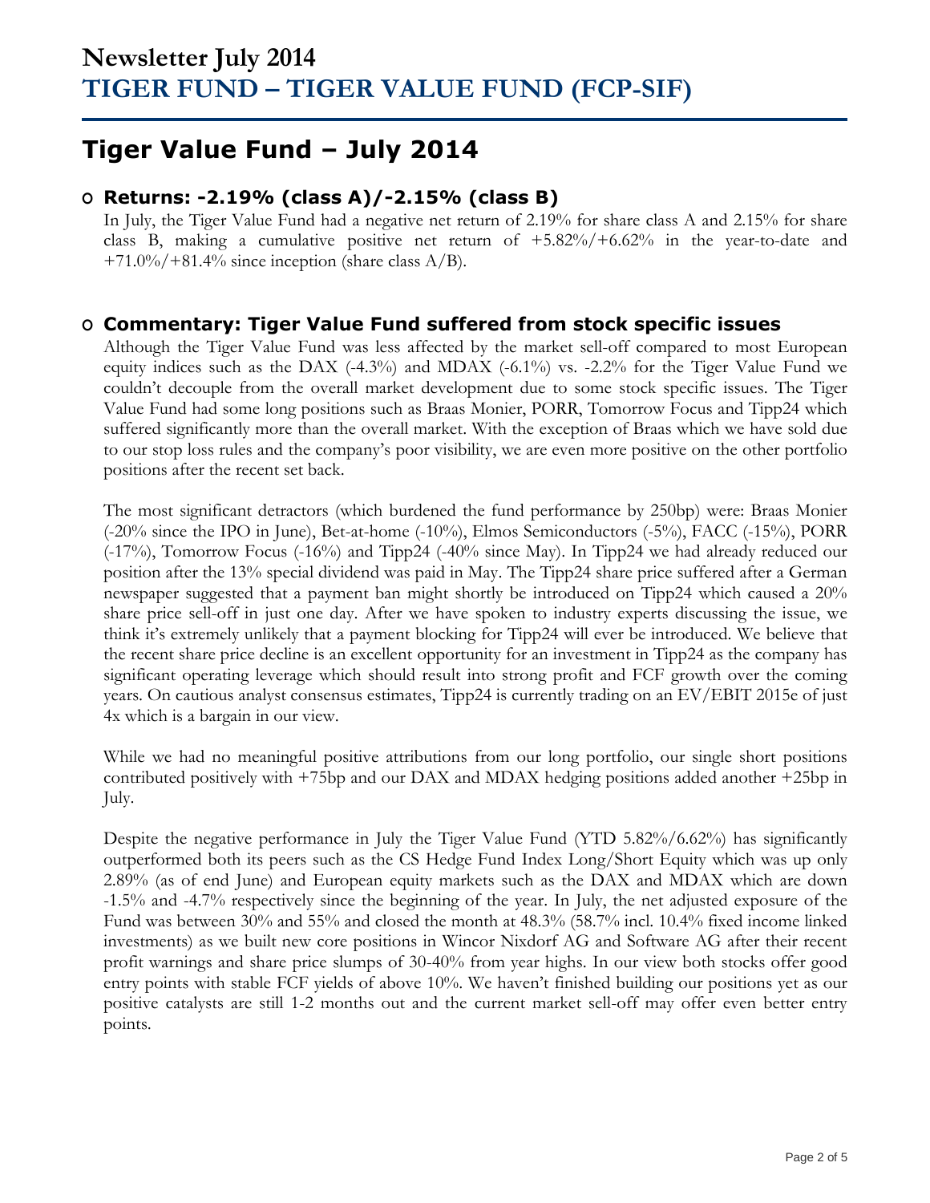## **Tiger Value Fund – July 2014**

### **O Returns: -2.19% (class A)/-2.15% (class B)**

In July, the Tiger Value Fund had a negative net return of 2.19% for share class A and 2.15% for share class B, making a cumulative positive net return of +5.82%/+6.62% in the year-to-date and  $+71.0\% / +81.4\%$  since inception (share class A/B).

### **O Commentary: Tiger Value Fund suffered from stock specific issues**

Although the Tiger Value Fund was less affected by the market sell-off compared to most European equity indices such as the DAX (-4.3%) and MDAX (-6.1%) vs. -2.2% for the Tiger Value Fund we couldn't decouple from the overall market development due to some stock specific issues. The Tiger Value Fund had some long positions such as Braas Monier, PORR, Tomorrow Focus and Tipp24 which suffered significantly more than the overall market. With the exception of Braas which we have sold due to our stop loss rules and the company's poor visibility, we are even more positive on the other portfolio positions after the recent set back.

The most significant detractors (which burdened the fund performance by 250bp) were: Braas Monier (-20% since the IPO in June), Bet-at-home (-10%), Elmos Semiconductors (-5%), FACC (-15%), PORR (-17%), Tomorrow Focus (-16%) and Tipp24 (-40% since May). In Tipp24 we had already reduced our position after the 13% special dividend was paid in May. The Tipp24 share price suffered after a German newspaper suggested that a payment ban might shortly be introduced on Tipp24 which caused a 20% share price sell-off in just one day. After we have spoken to industry experts discussing the issue, we think it's extremely unlikely that a payment blocking for Tipp24 will ever be introduced. We believe that the recent share price decline is an excellent opportunity for an investment in Tipp24 as the company has significant operating leverage which should result into strong profit and FCF growth over the coming years. On cautious analyst consensus estimates, Tipp24 is currently trading on an EV/EBIT 2015e of just 4x which is a bargain in our view.

While we had no meaningful positive attributions from our long portfolio, our single short positions contributed positively with +75bp and our DAX and MDAX hedging positions added another +25bp in July.

Despite the negative performance in July the Tiger Value Fund (YTD 5.82%/6.62%) has significantly outperformed both its peers such as the CS Hedge Fund Index Long/Short Equity which was up only 2.89% (as of end June) and European equity markets such as the DAX and MDAX which are down -1.5% and -4.7% respectively since the beginning of the year. In July, the net adjusted exposure of the Fund was between 30% and 55% and closed the month at 48.3% (58.7% incl. 10.4% fixed income linked investments) as we built new core positions in Wincor Nixdorf AG and Software AG after their recent profit warnings and share price slumps of 30-40% from year highs. In our view both stocks offer good entry points with stable FCF yields of above 10%. We haven't finished building our positions yet as our positive catalysts are still 1-2 months out and the current market sell-off may offer even better entry points.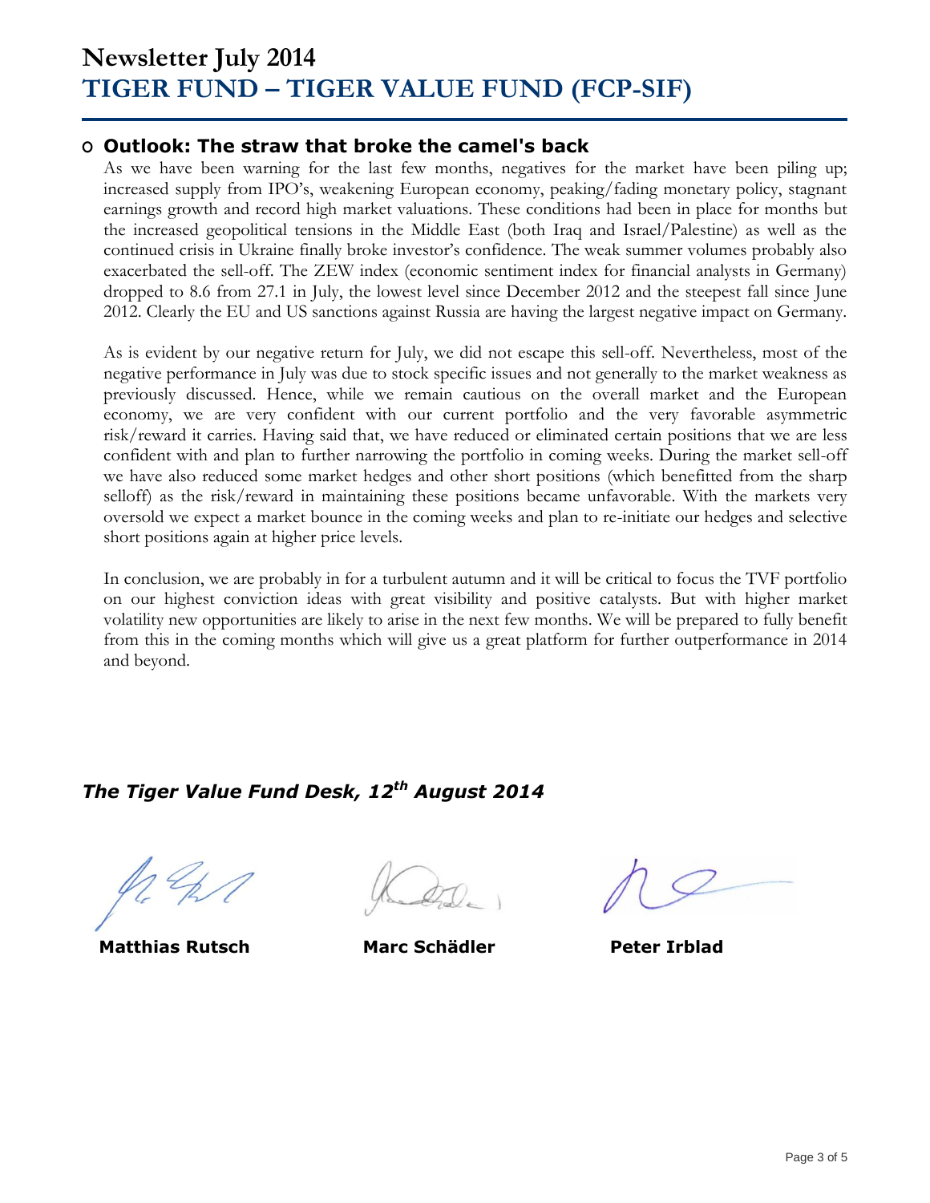## **Newsletter July 2014 TIGER FUND – TIGER VALUE FUND (FCP-SIF)**

### **O Outlook: The straw that broke the camel's back**

As we have been warning for the last few months, negatives for the market have been piling up; increased supply from IPO's, weakening European economy, peaking/fading monetary policy, stagnant earnings growth and record high market valuations. These conditions had been in place for months but the increased geopolitical tensions in the Middle East (both Iraq and Israel/Palestine) as well as the continued crisis in Ukraine finally broke investor's confidence. The weak summer volumes probably also exacerbated the sell-off. The ZEW index (economic sentiment index for financial analysts in Germany) dropped to 8.6 from 27.1 in July, the lowest level since December 2012 and the steepest fall since June 2012. Clearly the EU and US sanctions against Russia are having the largest negative impact on Germany.

As is evident by our negative return for July, we did not escape this sell-off. Nevertheless, most of the negative performance in July was due to stock specific issues and not generally to the market weakness as previously discussed. Hence, while we remain cautious on the overall market and the European economy, we are very confident with our current portfolio and the very favorable asymmetric risk/reward it carries. Having said that, we have reduced or eliminated certain positions that we are less confident with and plan to further narrowing the portfolio in coming weeks. During the market sell-off we have also reduced some market hedges and other short positions (which benefitted from the sharp selloff) as the risk/reward in maintaining these positions became unfavorable. With the markets very oversold we expect a market bounce in the coming weeks and plan to re-initiate our hedges and selective short positions again at higher price levels.

In conclusion, we are probably in for a turbulent autumn and it will be critical to focus the TVF portfolio on our highest conviction ideas with great visibility and positive catalysts. But with higher market volatility new opportunities are likely to arise in the next few months. We will be prepared to fully benefit from this in the coming months which will give us a great platform for further outperformance in 2014 and beyond.

### *The Tiger Value Fund Desk, 12 th August 2014*

 **Matthias Rutsch Marc Schädler Peter Irblad**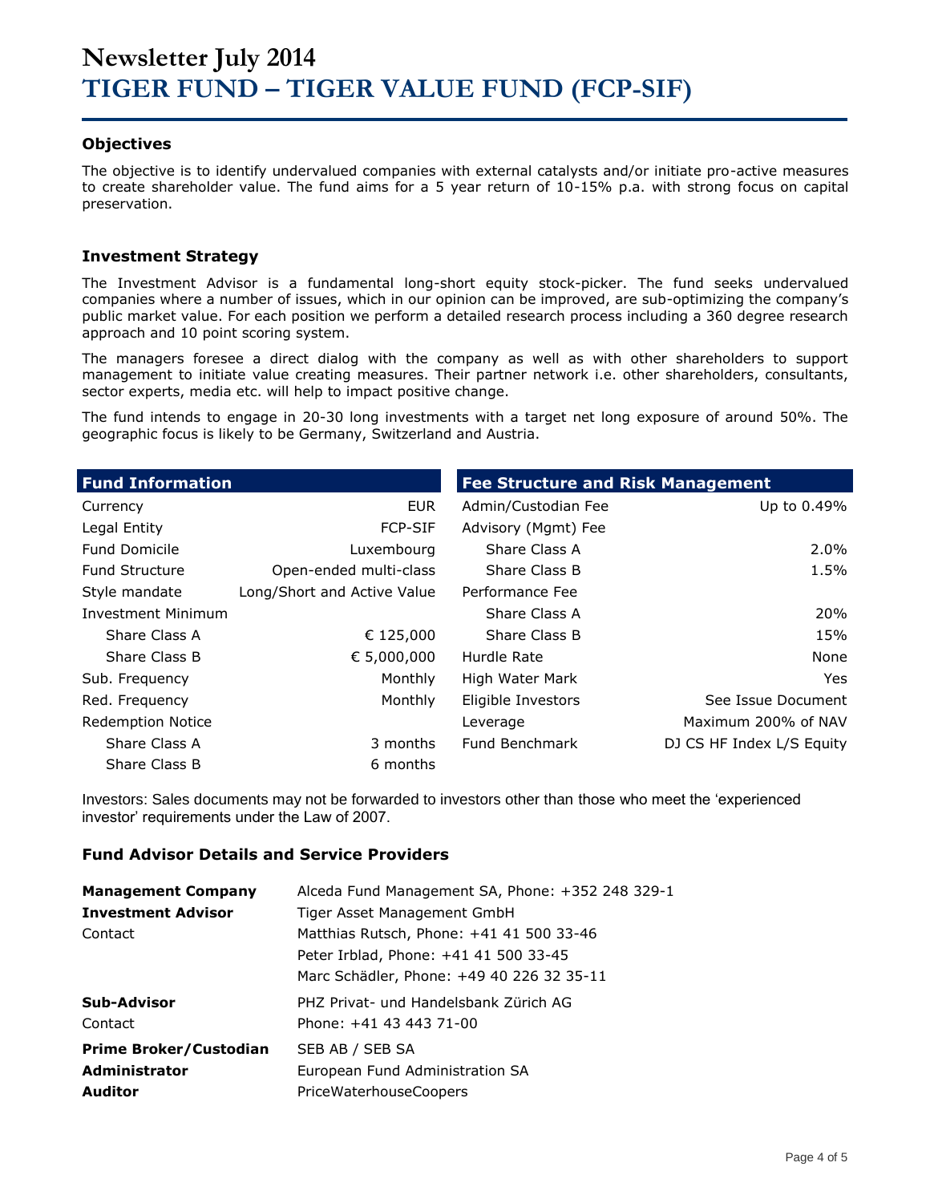#### **Objectives**

The objective is to identify undervalued companies with external catalysts and/or initiate pro-active measures to create shareholder value. The fund aims for a 5 year return of 10-15% p.a. with strong focus on capital preservation.

#### **Investment Strategy**

The Investment Advisor is a fundamental long-short equity stock-picker. The fund seeks undervalued companies where a number of issues, which in our opinion can be improved, are sub-optimizing the company's public market value. For each position we perform a detailed research process including a 360 degree research approach and 10 point scoring system.

The managers foresee a direct dialog with the company as well as with other shareholders to support management to initiate value creating measures. Their partner network i.e. other shareholders, consultants, sector experts, media etc. will help to impact positive change.

The fund intends to engage in 20-30 long investments with a target net long exposure of around 50%. The geographic focus is likely to be Germany, Switzerland and Austria.

| <b>Fund Information</b>   |                             | <b>Fee Structure and Risk Management</b> |                           |
|---------------------------|-----------------------------|------------------------------------------|---------------------------|
| Currency                  | <b>EUR</b>                  | Admin/Custodian Fee                      | Up to 0.49%               |
| Legal Entity              | <b>FCP-SIF</b>              | Advisory (Mgmt) Fee                      |                           |
| <b>Fund Domicile</b>      | Luxembourg                  | Share Class A                            | $2.0\%$                   |
| <b>Fund Structure</b>     | Open-ended multi-class      | Share Class B                            | 1.5%                      |
| Style mandate             | Long/Short and Active Value | Performance Fee                          |                           |
| <b>Investment Minimum</b> |                             | Share Class A                            | 20%                       |
| Share Class A             | € 125,000                   | Share Class B                            | 15%                       |
| Share Class B             | € 5,000,000                 | Hurdle Rate                              | None                      |
| Sub. Frequency            | Monthly                     | High Water Mark                          | Yes.                      |
| Red. Frequency            | Monthly                     | Eligible Investors                       | See Issue Document        |
| <b>Redemption Notice</b>  |                             | Leverage                                 | Maximum 200% of NAV       |
| Share Class A             | 3 months                    | <b>Fund Benchmark</b>                    | DJ CS HF Index L/S Equity |
| Share Class B             | 6 months                    |                                          |                           |

Investors: Sales documents may not be forwarded to investors other than those who meet the 'experienced investor' requirements under the Law of 2007.

#### **Fund Advisor Details and Service Providers**

| <b>Management Company</b>     | Alceda Fund Management SA, Phone: +352 248 329-1 |
|-------------------------------|--------------------------------------------------|
| <b>Investment Advisor</b>     | Tiger Asset Management GmbH                      |
| Contact                       | Matthias Rutsch, Phone: +41 41 500 33-46         |
|                               | Peter Irblad, Phone: +41 41 500 33-45            |
|                               | Marc Schädler, Phone: +49 40 226 32 35-11        |
| Sub-Advisor                   | PHZ Privat- und Handelsbank Zürich AG            |
| Contact                       | Phone: +41 43 443 71-00                          |
| <b>Prime Broker/Custodian</b> | SEB AB / SEB SA                                  |
| <b>Administrator</b>          | European Fund Administration SA                  |
| <b>Auditor</b>                | <b>PriceWaterhouseCoopers</b>                    |